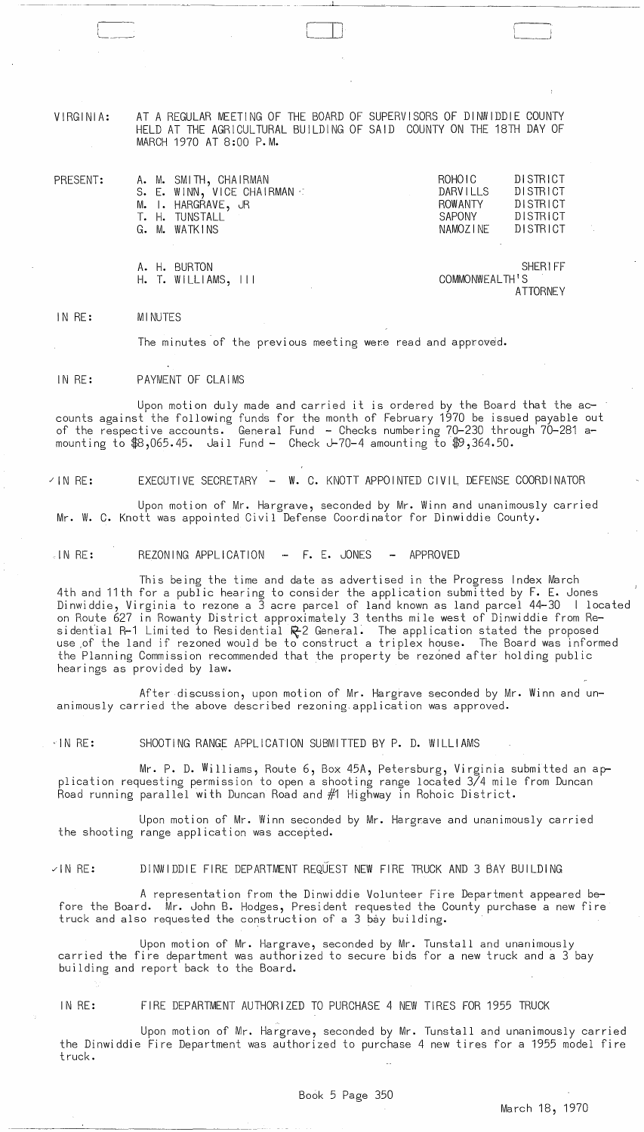VIRGINIA:

 $H.$  T. WILLIAMS,  $|| \cdot ||$ 

PRESENT:

-<del>----------------------------</del><br>...

AT A REGULAR MEETING OF THE BOARD OF SUPERVISORS OF DINWIDDIE COUNTY HELD AT THE AGRICULTURAL BUILDING OF SAID COUNTY ON THE 18TH DAY OF MARCH 1970 AT 8:00 P.M.

-----~-~,~~ ---~---- - - ---'-'-----~------~~--------~

|  | A. M. SMITH, CHAIRMAN       | ROHOIC         | DISTRICT |
|--|-----------------------------|----------------|----------|
|  | S. E. WINN, VICE CHAIRMAN : | DARVILLS       | DISTRICT |
|  | M. I. HARGRAVE, JR          | <b>ROWANTY</b> | DISTRICT |
|  | T. H. TUNSTALL              | SAPONY         | DISTRICT |
|  | G. M. WATKINS               | NAMOZINE       | DISTRICT |
|  |                             |                |          |
|  |                             |                |          |

A. H. BURTON SHERIFF<br>H. T. WILLIAMS, III SHERIFF COMMONWEALTH'S ATTORNEY

IN RE: MINUTES

The minutes of the previous meeting were read and approved.

IN RE: PAYMENT OF CLAIMS

Upon motion duly made and carried it is ordered by the Board that the accounts against the following funds for the month of February 1970 be issued payable out of the respective accounts. General Fund - Checks numbering 70-230 through 70-281 amounting to  $$8,065.45$ . Jail Fund - Check J-70-4 amounting to  $$9,364.50$ .

IN RE: EXECUTIVE SECRETARY - W. C. KNOTT APPOINTED CIVIL DEFENSE COORDINATOR

Upon motion of Mr. Hargrave, seconded by Mr. Winn and unanimously carried Mr. W. C. Knott was appointed Civil Defense Coordinator for Dinwiddie County.

 $IN RE: REZONING APPLICATION - F. E. JONES - APPROVED$ 

This being the time and date as advertised in the Progress Index March 4th and 11th for a public hearing to consider the application submitted by F. E. Jones Dinwiddie, Virginia to rezone a 3 acre parcel of land known as land parcel 44-30 | located on Route 627 in Rowanty District approximately 3 tenths mile west of Dinwiddie from Residential R-1 Limited to Residential  $\mathbb{R}^2$  General. The application stated the proposed use ,of the land if rezoned would be to construct a triplex house. The Board was informed the Planning Commission recommended that the property be rezoned after holding public hearings as provided by law.

After discussion, upon motion of Mr. Hargrave seconded by Mr. Winn and unanimously carried the above described rezoning. application was approved.

"I N RE: SHOOTING RANGE APPLICATION SUBMITTED BY P. D. WILLIAMS

Mr. P. D. Williams, Route 6, Box 45A, Petersburg, Virginia submitted an application requesting permission to open a shooting range located 3/4 mile from Duncan Road running parallel with Duncan Road and #1 Highway in Rohoic District.

Upon motion of Mr. Winn seconded by Mr. Hargrave and unanimously carried the shooting range application was accepted.

IN RE: DINWIDDIE FIRE DEPARTMENT REQUEST NEW FIRE TRUCK AND 3 BAY BUILDING

A representation from the Dinwiddie Volunteer Fire Department appeared before the Board. Mr. John B. Hodges, President requested the County purchase a new fire truck and also requested the construction of a 3 bay building.

Upon motion of Mr. Hargrave, seconded by Mr. Tunstall and unanimously carried the fire department was authorized to secure bids for a new truck and a 3 bay building and report back to the Board.

IN RE: FIRE DEPARTMENT AUTHORIZED TO PURCHASE 4 NEW TIRES FOR 1955 TRUCK

Upon motion of Mr. Hargrave, seconded by Mr. Tunstall and unanimously carried the Dinwiddie Fire Department was authorized to purchase 4 new tires for a 1955 model fire truck.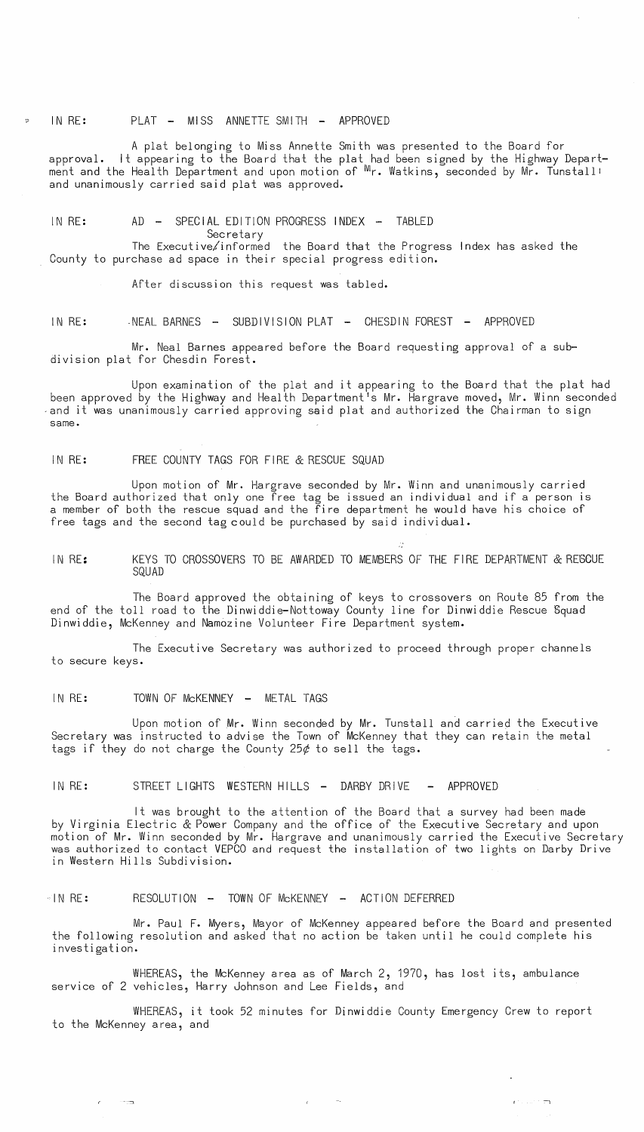IN RE: PLAT - MISS ANNETTE SMITH - APPROVED

A plat belonging to Miss Annette Smith was presented to the Board for approval. It appearing to the Board that the plat had been signed by the Highway Department and the Health Department and upon motion of  ${}^{\mathsf{W}_{\mathsf{r}}}$ . Watkins, seconded by Mr. Tunstall! and unanimously carried said plat was approved.

IN RE: AD - SPECIAL EDITION PROGRESS INDEX - TABLED

Secretary

The Executive/informed the Board that the Progress Index has asked the County to purchase ad space in their special progress edition.

After discussion this request was tabled.

IN RE: NEAL BARNES - SUBDIVISION PLAT - CHESDIN FOREST - APPROVED

Mr. Neal Barnes appeared before the Board requesting approval of a subdivision plat for Chesdin Forest.

Upon examination of the plat and it appearing to the Board that the plat had been approved by the Highway and Health Department's Mr. Hargrave moved, Mr. Winn seconded and it was unanimously carried approving said plat and authorized the Chairman to sign same.

IN RE: FREE COUNTY TAGS FOR FIRE & RESCUE SQUAD

Upon motion of Mr. Hargrave seconded by Mr. Winn and unanimously carried the Board authorized that only one free tag be issued an individual and if a person is a member of both the rescue squad and the fire department he would have his choice of free tags and the second tag could be purchased by said individual.

IN RE: KEYS TO CROSSOVERS TO BE AWARDED TO MEMBERS OF THE FIRE DEPARTMENT & RESCUE SQUAD

The Board approved the obtaining of keys to crossovers on Route 85 from the end of the toll road to the Dinwiddie-Nottoway County line for Dinwiddie Rescue Squad Dinwiddie, McKenney and Namozine Volunteer Fire Department system.

The Executive Secretary was authorized to proceed through proper channels to secure keys.

IN RE: TOWN OF McKENNEY - METAL TAGS

 $\sim$   $\sim$   $\sim$ 

Upon motion of Mr. Winn seconded by Mr. Tunstall and carried the Executive Secretary was instructed to advise the Town of McKenney that they can retain the metal tags if they do not charge the County 25 $\phi$  to sell the tags.

IN RE: STREET LIGHTS WESTERN HILLS - DARBY DRIVE - APPROVED

It was brought to the attention of the Board that a survey had been made by Virginia Electric & Power Company and the office of the Executive Secretary and upon motion of Mr. Winn seconded by Mr. Hargrave and unanimously carried the Executive Secretary was authorized to contact VEPCO and request the installation of two lights on Darby Drive in Western Hills Subdivision.

··1 N RE: RESOLUTION - TOWN OF McKENNEY - ACTION DEFERRED

Mr. Paul F. Myers, Mayor of McKenney appeared before the Board and presented the following resolution and asked that no action be taken until he could complete his investigation.

WHEREAS, the McKenney area as of March 2, 1970, has lost its, ambulance service of 2 vehicles, Harry Johnson and Lee Fields, and

WHEREAS, it took 52 minutes for Dinwiddie County Emergency Crew to report to the McKenney area, and

 $\mathbf{r}^{(1)},\ldots$  "  $\mathbf{r}$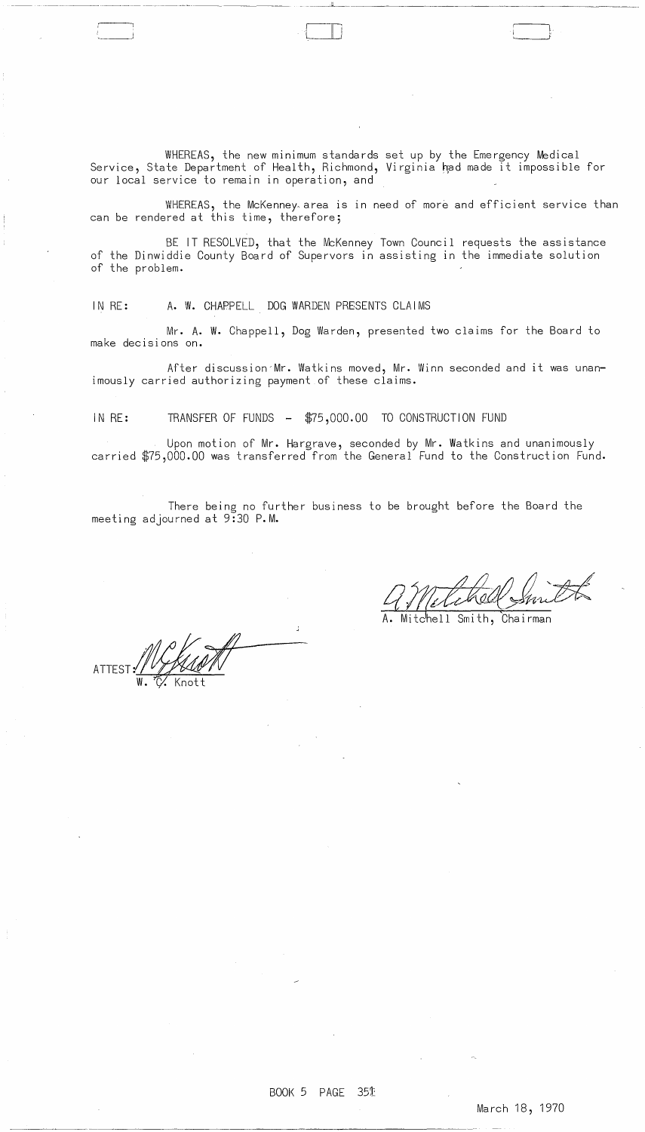WHEREAS, the new minimum standards set up by the Emergency Medical Service, State Department of Health, Richmond, Virginia had made it impossible for our local service to remain in operation, and

 $\Box$  i

WHEREAS, the McKenney area is in need of more and efficient service than can be rendered at this time, therefore;

BE IT RESOLVED, that the McKenney Town Council requests the assistance of the Dinwiddie County Board of Supervors in assisting in the immediate solution of the problem.

IN RE: A. W. CHAPPELL DOG WARDEN PRESENTS CLAIMS

-- --~--------------- ---~~-------- ----~

Mr. A. W. Chappell, Dog Warden, presented two claims for the Board to make decisions on.

After discussion'Mr. Watkins moved, Mr. Winn seconded and it was unanimously carried authorizing payment of these claims.

IN RE: TRANSFER OF FUNDS - \$75,000.00 TO CONSTRUCTION FUND

Upon motion of Mr. Hargrave, seconded by Mr. Watkins and unanimously carried \$75,000.00 was transferred from the General Fund to the Construction Fund.

There being no further business to be brought before the Board the meeting adjourned at 9:30 P.M.

ATTEST: WYTAANN

4 Metahol Smilt

Mitchell Smith, Chairman

## BOOK 5 PAGE 351